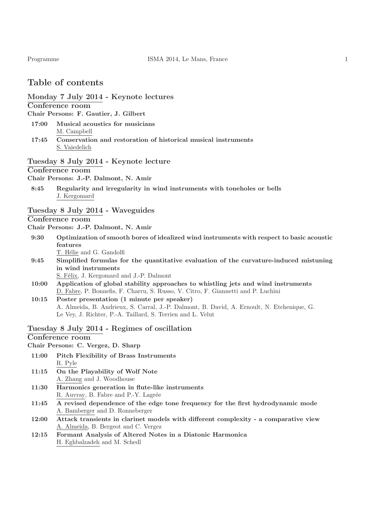## Table of contents

#### Monday 7 July 2014 - Keynote lectures

#### Conference room

Chair Persons: F. Gautier, J. Gilbert

- 17:00 Musical acoustics for musicians M. Campbell
- 17:45 Conservation and restoration of historical musical instruments S. Vaiedelich

## Tuesday 8 July 2014 - Keynote lecture

## Conference room

Chair Persons: J.-P. Dalmont, N. Amir

8:45 Regularity and irregularity in wind instruments with toneholes or bells J. Kergomard

## Tuesday 8 July 2014 - Waveguides

Conference room

Chair Persons: J.-P. Dalmont, N. Amir

- 9:30 Optimization of smooth bores of idealized wind instruments with respect to basic acoustic features T. Hélie and G. Gandolfi
- 9:45 Simplified formulas for the quantitative evaluation of the curvature-induced mistuning in wind instruments

S. Félix, J. Kergomard and J.-P. Dalmont

- 10:00 Application of global stability approaches to whistling jets and wind instruments D. Fabre, P. Bonnefis, F. Charru, S. Russo, V. Citro, F. Giannetti and P. Luchini
- 10:15 Poster presentation (1 minute per speaker) A. Almeida, B. Andrieux, S. Carral, J.-P. Dalmont, B. David, A. Ernoult, N. Etchenique, G. Le Vey, J. Richter, P.-A. Taillard, S. Terrien and L. Velut

### Tuesday 8 July 2014 - Regimes of oscillation

#### Conference room

#### Chair Persons: C. Vergez, D. Sharp

- 11:00 Pitch Flexibility of Brass Instruments R. Pyle
- 11:15 On the Playability of Wolf Note A. Zhang and J. Woodhouse
- 11:30 Harmonics generation in flute-like instruments R. Auvray, B. Fabre and P.-Y. Lagrée
- 11:45 A revised dependence of the edge tone frequency for the first hydrodynamic mode A. Bamberger and D. Ronneberger
- 12:00 Attack transients in clarinet models with different complexity a comparative view A. Almeida, B. Bergeot and C. Vergez
- 12:15 Formant Analysis of Altered Notes in a Diatonic Harmonica H. Eghbalzadeh and M. Schedl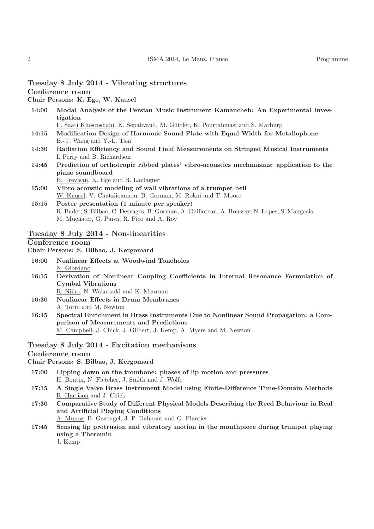Chair Persons: K. Ege, W. Kausel

14:00 Modal Analysis of the Persian Music Instrument Kamancheh: An Experimental Investigation

F. Saati Khosroshahi, K. Sepahvand, M. G¨uttler, K. Pourtahmasi and S. Marburg

- 14:15 Modification Design of Harmonic Sound Plate with Equal Width for Metallophone B.-T. Wang and Y.-L. Tsai
- 14:30 Radiation Efficiency and Sound Field Measurements on Stringed Musical Instruments I. Perry and B. Richardson
- 14:45 Prediction of orthotropic ribbed plates' vibro-acoustics mechanisms: application to the piano soundboard

B. Trevisan, K. Ege and B. Laulagnet

15:00 Vibro acoustic modeling of wall vibrations of a trumpet bell W. Kausel, V. Chatziioannou, B. Gorman, M. Rokni and T. Moore

## 15:15 Poster presentation (1 minute per speaker) R. Bader, S. Bilbao, C. Desvages, B. Gorman, A. Guilloteau, A. Houssay, N. Lopes, S. Maugeais, M. Muenster, G. Paiva, R. Pico and A. Roy

## Tuesday 8 July 2014 - Non-linearities

## Conference room

Chair Persons: S. Bilbao, J. Kergomard

- 16:00 Nonlinear Effects at Woodwind Toneholes N. Giordano
- 16:15 Derivation of Nonlinear Coupling Coefficients in Internal Resonance Formulation of Cymbal Vibrations

R. Niiho, N. Wakatsuki and K. Mizutani

- 16:30 Nonlinear Effects in Drum Membranes A. Torin and M. Newton
- 16:45 Spectral Enrichment in Brass Instruments Due to Nonlinear Sound Propagation: a Comparison of Measurements and Predictions M. Campbell, J. Chick, J. Gilbert, J. Kemp, A. Myers and M. Newton

## Tuesday 8 July 2014 - Excitation mechanisms

Conference room

Chair Persons: S. Bilbao, J. Kergomard

- 17:00 Lipping down on the trombone: phases of lip motion and pressures H. Boutin, N. Fletcher, J. Smith and J. Wolfe
- 17:15 A Single Valve Brass Instrument Model using Finite-Difference Time-Domain Methods R. Harrison and J. Chick
- 17:30 Comparative Study of Different Physical Models Describing the Reed Behaviour in Real and Artificial Playing Conditions

A. Munoz, B. Gazengel, J.-P. Dalmont and G. Plantier

17:45 Sensing lip protrusion and vibratory motion in the mouthpiece during trumpet playing using a Theremin

J. Kemp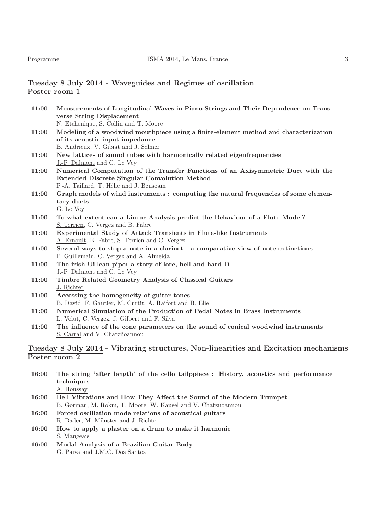## Tuesday 8 July 2014 - Waveguides and Regimes of oscillation Poster room 1

| 11:00 | Measurements of Longitudinal Waves in Piano Strings and Their Dependence on Trans-    |
|-------|---------------------------------------------------------------------------------------|
|       | verse String Displacement                                                             |
|       | N. Etchenique, S. Collin and T. Moore                                                 |
| 11:00 | Modeling of a woodwind mouthpiece using a finite-element method and characterization  |
|       | of its acoustic input impedance                                                       |
|       | B. Andrieux, V. Gibiat and J. Selmer                                                  |
| 11:00 | New lattices of sound tubes with harmonically related eigenfrequencies                |
|       | J.-P. Dalmont and G. Le Vey                                                           |
| 11:00 | Numerical Computation of the Transfer Functions of an Axisymmetric Duct with the      |
|       | <b>Extended Discrete Singular Convolution Method</b>                                  |
|       | P.-A. Taillard, T. Hélie and J. Bensoam                                               |
| 11:00 | Graph models of wind instruments : computing the natural frequencies of some elemen-  |
|       | tary ducts                                                                            |
|       | G. Le Vey                                                                             |
| 11:00 | To what extent can a Linear Analysis predict the Behaviour of a Flute Model?          |
|       | S. Terrien, C. Vergez and B. Fabre                                                    |
| 11:00 | Experimental Study of Attack Transients in Flute-like Instruments                     |
|       | A. Ernoult, B. Fabre, S. Terrien and C. Vergez                                        |
| 11:00 | Several ways to stop a note in a clarinet - a comparative view of note extinctions    |
|       | P. Guillemain, C. Vergez and A. Almeida                                               |
| 11:00 | The irish Uillean pipe: a story of lore, hell and hard D                              |
|       | J.-P. Dalmont and G. Le Vey                                                           |
| 11:00 | Timbre Related Geometry Analysis of Classical Guitars                                 |
|       | J. Richter                                                                            |
| 11:00 | Accessing the homogeneity of guitar tones                                             |
|       | B. David, F. Gautier, M. Curtit, A. Raifort and B. Elie                               |
| 11:00 | Numerical Simulation of the Production of Pedal Notes in Brass Instruments            |
|       | L. Velut, C. Vergez, J. Gilbert and F. Silva                                          |
| 11:00 | The influence of the cone parameters on the sound of conical woodwind instruments     |
|       | S. Carral and V. Chatziioannou                                                        |
|       |                                                                                       |
|       | Tuesday 8 July 2014 - Vibrating structures, Non-linearities and Excitation mechanisms |

# Poster room 2

| 16:00 | The string 'after length' of the cello tailppiece : History, acoustics and performance |
|-------|----------------------------------------------------------------------------------------|
|       | techniques                                                                             |
|       | A. Houssay                                                                             |
| 16:00 | Bell Vibrations and How They Affect the Sound of the Modern Trumpet                    |
|       | B. Gorman, M. Rokni, T. Moore, W. Kausel and V. Chatziioannou                          |
| 16:00 | Forced oscillation mode relations of acoustical guitars                                |

R. Bader, M. Münster and J. Richter 16:00 How to apply a plaster on a drum to make it harmonic S. Maugeais

16:00 Modal Analysis of a Brazilian Guitar Body G. Paiva and J.M.C. Dos Santos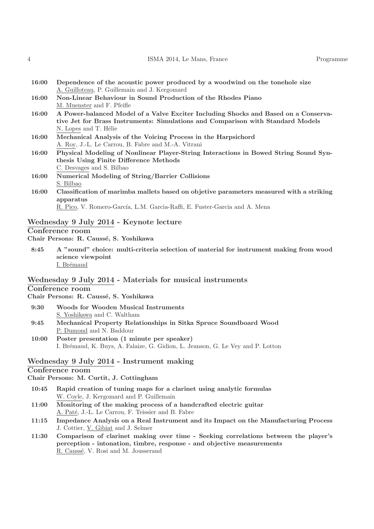|  | ISMA 2014, Le Mans, France | Programme |
|--|----------------------------|-----------|
|--|----------------------------|-----------|

| 16:00 | Dependence of the acoustic power produced by a woodwind on the tonehole size |
|-------|------------------------------------------------------------------------------|
|       | A. Guilloteau, P. Guillemain and J. Kergomard                                |

- 16:00 Non-Linear Behaviour in Sound Production of the Rhodes Piano M. Muenster and F. Pfeifle
- 16:00 A Power-balanced Model of a Valve Exciter Including Shocks and Based on a Conservative Jet for Brass Instruments: Simulations and Comparison with Standard Models N. Lopes and T. Hélie
- 16:00 Mechanical Analysis of the Voicing Process in the Harpsichord A. Roy, J.-L. Le Carrou, B. Fabre and M.-A. Vitrani
- 16:00 Physical Modeling of Nonlinear Player-String Interactions in Bowed String Sound Synthesis Using Finite Difference Methods C. Desvages and S. Bilbao
- 16:00 Numerical Modeling of String/Barrier Collisions S. Bilbao
- 16:00 Classification of marimba mallets based on objetive parameters measured with a striking apparatus

R. Pico, V. Romero-García, L.M. Garcia-Raffi, E. Fuster-Garcia and A. Mena

#### Wednesday 9 July 2014 - Keynote lecture

## Conference room

Chair Persons: R. Caussé, S. Yoshikawa

8:45 A "sound" choice: multi-criteria selection of material for instrument making from wood science viewpoint I. Brémaud

#### Wednesday 9 July 2014 - Materials for musical instruments

#### Conference room

Chair Persons: R. Caussé, S. Yoshikawa

- 9:30 Woods for Wooden Musical Instruments S. Yoshikawa and C. Waltham 9:45 Mechanical Property Relationships in Sitka Spruce Soundboard Wood
- P. Dumond and N. Baddour
- 10:00 Poster presentation (1 minute per speaker) I. Brémaud, K. Buys, A. Falaize, G. Gidion, L. Jeanson, G. Le Vey and P. Lotton

## Wednesday 9 July 2014 - Instrument making

## Conference room

Chair Persons: M. Curtit, J. Cottingham

- 10:45 Rapid creation of tuning maps for a clarinet using analytic formulas W. Coyle, J. Kergomard and P. Guillemain
- 11:00 Monitoring of the making process of a handcrafted electric guitar A. Paté, J.-L. Le Carrou, F. Teissier and B. Fabre
- 11:15 Impedance Analysis on a Real Instrument and its Impact on the Manufacturing Process J. Cottier, V. Gibiat and J. Selmer
- 11:30 Comparison of clarinet making over time Seeking correlations between the player's perception - intonation, timbre, response - and objective measurements R. Caussé, V. Rosi and M. Jousserand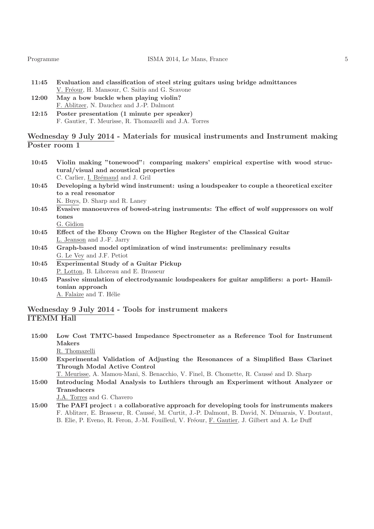| Programme |  |  |
|-----------|--|--|
|           |  |  |

- 11:45 Evaluation and classification of steel string guitars using bridge admittances V. Fréour, H. Mansour, C. Saitis and G. Scavone
- 12:00 May a bow buckle when playing violin? F. Ablitzer, N. Dauchez and J.-P. Dalmont
- 12:15 Poster presentation (1 minute per speaker) F. Gautier, T. Meurisse, R. Thomazelli and J.A. Torres

## Wednesday 9 July 2014 - Materials for musical instruments and Instrument making Poster room 1

- 10:45 Violin making "tonewood": comparing makers' empirical expertise with wood structural/visual and acoustical properties C. Carlier, I. Brémaud and J. Gril
- 10:45 Developing a hybrid wind instrument: using a loudspeaker to couple a theoretical exciter to a real resonator K. Buys, D. Sharp and R. Laney
- 10:45 Evasive manoeuvres of bowed-string instruments: The effect of wolf suppressors on wolf tones G. Gidion
- 10:45 Effect of the Ebony Crown on the Higher Register of the Classical Guitar L. Jeanson and J.-F. Jarry
- 10:45 Graph-based model optimization of wind instruments: preliminary results G. Le Vey and J.F. Petiot
- 10:45 Experimental Study of a Guitar Pickup P. Lotton, B. Lihoreau and E. Brasseur
- 10:45 Passive simulation of electrodynamic loudspeakers for guitar amplifiers: a port- Hamiltonian approach A. Falaize and T. Hélie

## Wednesday 9 July 2014 - Tools for instrument makers ITEMM Hall

- 15:00 Low Cost TMTC-based Impedance Spectrometer as a Reference Tool for Instrument Makers R. Thomazelli
- 15:00 Experimental Validation of Adjusting the Resonances of a Simplified Bass Clarinet Through Modal Active Control

T. Meurisse, A. Mamou-Mani, S. Benacchio, V. Finel, B. Chomette, R. Caussé and D. Sharp

15:00 Introducing Modal Analysis to Luthiers through an Experiment without Analyzer or **Transducers** 

J.A. Torres and G. Chavero

15:00 The PAFI project : a collaborative approach for developing tools for instruments makers F. Ablitzer, E. Brasseur, R. Caussé, M. Curtit, J.-P. Dalmont, B. David, N. Démarais, V. Doutaut, B. Elie, P. Eveno, R. Feron, J.-M. Fouilleul, V. Fréour, F. Gautier, J. Gilbert and A. Le Duff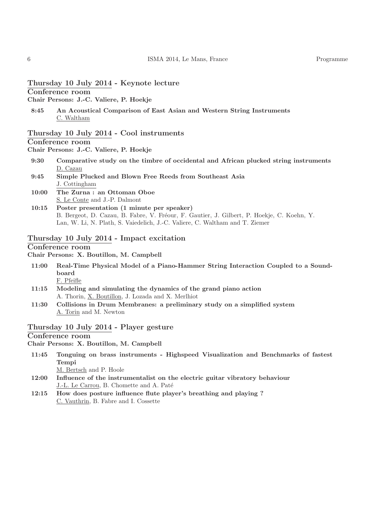## Thursday 10 July 2014 - Keynote lecture

Conference room

Chair Persons: J.-C. Valiere, P. Hoekje

8:45 An Acoustical Comparison of East Asian and Western String Instruments C. Waltham

#### Thursday 10 July 2014 - Cool instruments

### Conference room

Chair Persons: J.-C. Valiere, P. Hoekje

- 9:30 Comparative study on the timbre of occidental and African plucked string instruments D. Cazau
- 9:45 Simple Plucked and Blown Free Reeds from Southeast Asia J. Cottingham
- 10:00 The Zurna : an Ottoman Oboe S. Le Conte and J.-P. Dalmont
- 10:15 Poster presentation (1 minute per speaker) B. Bergeot, D. Cazau, B. Fabre, V. Fréour, F. Gautier, J. Gilbert, P. Hoekje, C. Koehn, Y. Lan, W. Li, N. Plath, S. Vaiedelich, J.-C. Valiere, C. Waltham and T. Ziemer

#### Thursday 10 July 2014 - Impact excitation

Conference room

Chair Persons: X. Boutillon, M. Campbell

- 11:00 Real-Time Physical Model of a Piano-Hammer String Interaction Coupled to a Soundboard F. Pfeifle
- 11:15 Modeling and simulating the dynamics of the grand piano action A. Thorin, X. Boutillon, J. Lozada and X. Merlhiot
- 11:30 Collisions in Drum Membranes: a preliminary study on a simplified system A. Torin and M. Newton

#### Thursday 10 July 2014 - Player gesture

#### Conference room

Chair Persons: X. Boutillon, M. Campbell

11:45 Tonguing on brass instruments - Highspeed Visualization and Benchmarks of fastest Tempi

M. Bertsch and P. Hoole

- 12:00 Influence of the instrumentalist on the electric guitar vibratory behaviour J.-L. Le Carrou, B. Chomette and A. Paté
- 12:15 How does posture influence flute player's breathing and playing ? C. Vauthrin, B. Fabre and I. Cossette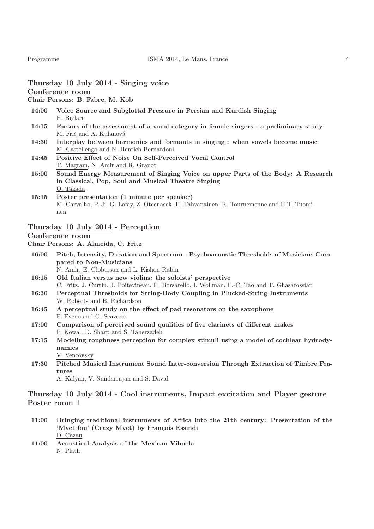## Thursday 10 July 2014 - Singing voice

## Conference room

Chair Persons: B. Fabre, M. Kob

- 14:00 Voice Source and Subglottal Pressure in Persian and Kurdish Singing H. Biglari
- 14:15 Factors of the assessment of a vocal category in female singers a preliminary study M. Frič and A. Kulanová
- 14:30 Interplay between harmonics and formants in singing : when vowels become music M. Castellengo and N. Henrich Bernardoni
- 14:45 Positive Effect of Noise On Self-Perceived Vocal Control T. Magram, N. Amir and R. Granot
- 15:00 Sound Energy Measurement of Singing Voice on upper Parts of the Body: A Research in Classical, Pop, Soul and Musical Theatre Singing O. Takada
- 15:15 Poster presentation (1 minute per speaker) M. Carvalho, P. Ji, G. Lafay, Z. Otcenasek, H. Tahvanainen, R. Tournemenne and H.T. Tuominen

## Thursday 10 July 2014 - Perception

#### Conference room

#### Chair Persons: A. Almeida, C. Fritz

- 16:00 Pitch, Intensity, Duration and Spectrum Psychoacoustic Thresholds of Musicians Compared to Non-Musicians N. Amir, E. Globerson and L. Kishon-Rabin
- 16:15 Old Italian versus new violins: the soloists' perspective C. Fritz, J. Curtin, J. Poitevineau, H. Borsarello, I. Wollman, F.-C. Tao and T. Ghasarossian
- 16:30 Perceptual Thresholds for String-Body Coupling in Plucked-String Instruments W. Roberts and B. Richardson
- 16:45 A perceptual study on the effect of pad resonators on the saxophone P. Eveno and G. Scavone
- 17:00 Comparison of perceived sound qualities of five clarinets of different makes P. Kowal, D. Sharp and S. Taherzadeh
- 17:15 Modeling roughness perception for complex stimuli using a model of cochlear hydrodynamics V. Vencovsky
- 17:30 Pitched Musical Instrument Sound Inter-conversion Through Extraction of Timbre Features

A. Kalyan, V. Sundarrajan and S. David

## Thursday 10 July 2014 - Cool instruments, Impact excitation and Player gesture Poster room 1

- 11:00 Bringing traditional instruments of Africa into the 21th century: Presentation of the 'Mvet fou' (Crazy Mvet) by François Essindi D. Cazau
- 11:00 Acoustical Analysis of the Mexican Vihuela N. Plath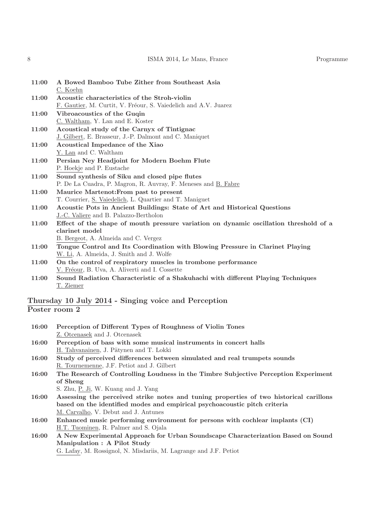8 ISMA 2014, Le Mans, France Programme

| 11:00 | A Bowed Bamboo Tube Zither from Southeast Asia                                        |
|-------|---------------------------------------------------------------------------------------|
|       | C. Koehn                                                                              |
| 11:00 | Acoustic characteristics of the Stroh-violin                                          |
|       | F. Gautier, M. Curtit, V. Fréour, S. Vaiedelich and A.V. Juarez                       |
| 11:00 | Vibroacoustics of the Guqin                                                           |
|       | C. Waltham, Y. Lan and E. Koster                                                      |
| 11:00 | Acoustical study of the Carnyx of Tintignac                                           |
|       | J. Gilbert, E. Brasseur, J.-P. Dalmont and C. Maniquet                                |
| 11:00 | Acoustical Impedance of the Xiao                                                      |
|       | $Y.$ Lan and C. Waltham                                                               |
| 11:00 | Persian Ney Headjoint for Modern Boehm Flute                                          |
|       | P. Hoekje and P. Eustache                                                             |
| 11:00 | Sound synthesis of Siku and closed pipe flutes                                        |
|       | P. De La Cuadra, P. Magron, R. Auvray, F. Meneses and B. Fabre                        |
| 11:00 | Maurice Martenot: From past to present                                                |
|       | T. Courrier, S. Vaiedelich, L. Quartier and T. Maniguet                               |
| 11:00 | Acoustic Pots in Ancient Buildings: State of Art and Historical Questions             |
|       | J.-C. Valiere and B. Palazzo-Bertholon                                                |
| 11:00 | Effect of the shape of mouth pressure variation on dynamic oscillation threshold of a |
|       | clarinet model                                                                        |
|       | B. Bergeot, A. Almeida and C. Vergez                                                  |
| 11:00 | Tongue Control and Its Coordination with Blowing Pressure in Clarinet Playing         |
|       | W. Li, A. Almeida, J. Smith and J. Wolfe                                              |
| 11:00 | On the control of respiratory muscles in trombone performance                         |
|       | V. Fréour, B. Uva, A. Aliverti and I. Cossette                                        |
| 11:00 | Sound Radiation Characteristic of a Shakuhachi with different Playing Techniques      |
|       | T. Ziemer                                                                             |
|       |                                                                                       |

## Thursday 10 July 2014 - Singing voice and Perception Poster room 2

| 16:00 | Perception of Different Types of Roughness of Violin Tones                             |
|-------|----------------------------------------------------------------------------------------|
|       | Z. Otcenasek and J. Otcenasek                                                          |
| 16:00 | Perception of bass with some musical instruments in concert halls                      |
|       | H. Tahvanainen, J. Pätynen and T. Lokki                                                |
| 16:00 | Study of perceived differences between simulated and real trumpets sounds              |
|       | R. Tournemenne, J.F. Petiot and J. Gilbert                                             |
| 16:00 | The Research of Controlling Loudness in the Timbre Subjective Perception Experiment    |
|       | of Sheng                                                                               |
|       | S. Zhu, P. Ji, W. Kuang and J. Yang                                                    |
| 16:00 | Assessing the perceived strike notes and tuning properties of two historical carillons |
|       | based on the identified modes and empirical psychoacoustic pitch criteria              |
|       | M. Carvalho, V. Debut and J. Antunes                                                   |
| 16:00 | Enhanced music performing environment for persons with cochlear implants (CI)          |
|       | H.T. Tuominen, R. Palmer and S. Ojala                                                  |

16:00 A New Experimental Approach for Urban Soundscape Characterization Based on Sound Manipulation : A Pilot Study

G. Lafay, M. Rossignol, N. Misdariis, M. Lagrange and J.F. Petiot